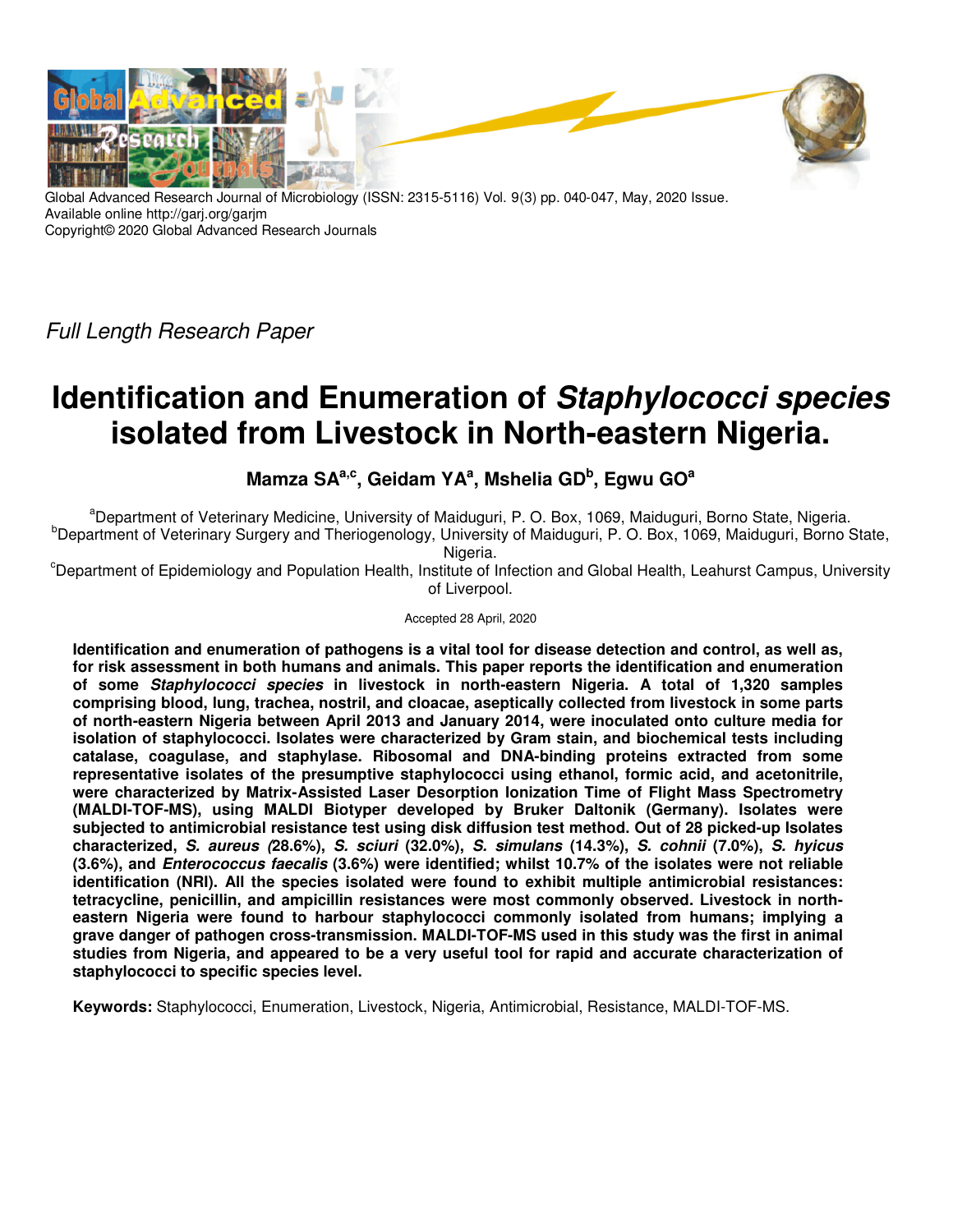

Global Advanced Research Journal of Microbiology (ISSN: 2315-5116) Vol. 9(3) pp. 040-047, May, 2020 Issue. Available online http://garj.org/garjm Copyright© 2020 Global Advanced Research Journals

Full Length Research Paper

# **Identification and Enumeration of Staphylococci species isolated from Livestock in North-eastern Nigeria.**

## **Mamza SAa,c, Geidam YA<sup>a</sup> , Mshelia GD<sup>b</sup> , Egwu GO<sup>a</sup>**

<sup>a</sup>Department of Veterinary Medicine, University of Maiduguri, P. O. Box, 1069, Maiduguri, Borno State, Nigeria. <sup>b</sup>Department of Veterinary Surgery and Theriogenology, University of Maiduguri, P. O. Box, 1069, Maiduguri, Borno State,

Nigeria.

<sup>c</sup>Department of Epidemiology and Population Health, Institute of Infection and Global Health, Leahurst Campus, University of Liverpool.

Accepted 28 April, 2020

**Identification and enumeration of pathogens is a vital tool for disease detection and control, as well as, for risk assessment in both humans and animals. This paper reports the identification and enumeration of some Staphylococci species in livestock in north-eastern Nigeria. A total of 1,320 samples comprising blood, lung, trachea, nostril, and cloacae, aseptically collected from livestock in some parts of north-eastern Nigeria between April 2013 and January 2014, were inoculated onto culture media for isolation of staphylococci. Isolates were characterized by Gram stain, and biochemical tests including catalase, coagulase, and staphylase. Ribosomal and DNA-binding proteins extracted from some representative isolates of the presumptive staphylococci using ethanol, formic acid, and acetonitrile, were characterized by Matrix-Assisted Laser Desorption Ionization Time of Flight Mass Spectrometry (MALDI-TOF-MS), using MALDI Biotyper developed by Bruker Daltonik (Germany). Isolates were subjected to antimicrobial resistance test using disk diffusion test method. Out of 28 picked-up Isolates characterized, S. aureus (28.6%), S. sciuri (32.0%), S. simulans (14.3%), S. cohnii (7.0%), S. hyicus (3.6%), and Enterococcus faecalis (3.6%) were identified; whilst 10.7% of the isolates were not reliable identification (NRI). All the species isolated were found to exhibit multiple antimicrobial resistances: tetracycline, penicillin, and ampicillin resistances were most commonly observed. Livestock in northeastern Nigeria were found to harbour staphylococci commonly isolated from humans; implying a grave danger of pathogen cross-transmission. MALDI-TOF-MS used in this study was the first in animal studies from Nigeria, and appeared to be a very useful tool for rapid and accurate characterization of staphylococci to specific species level.** 

**Keywords:** Staphylococci, Enumeration, Livestock, Nigeria, Antimicrobial, Resistance, MALDI-TOF-MS.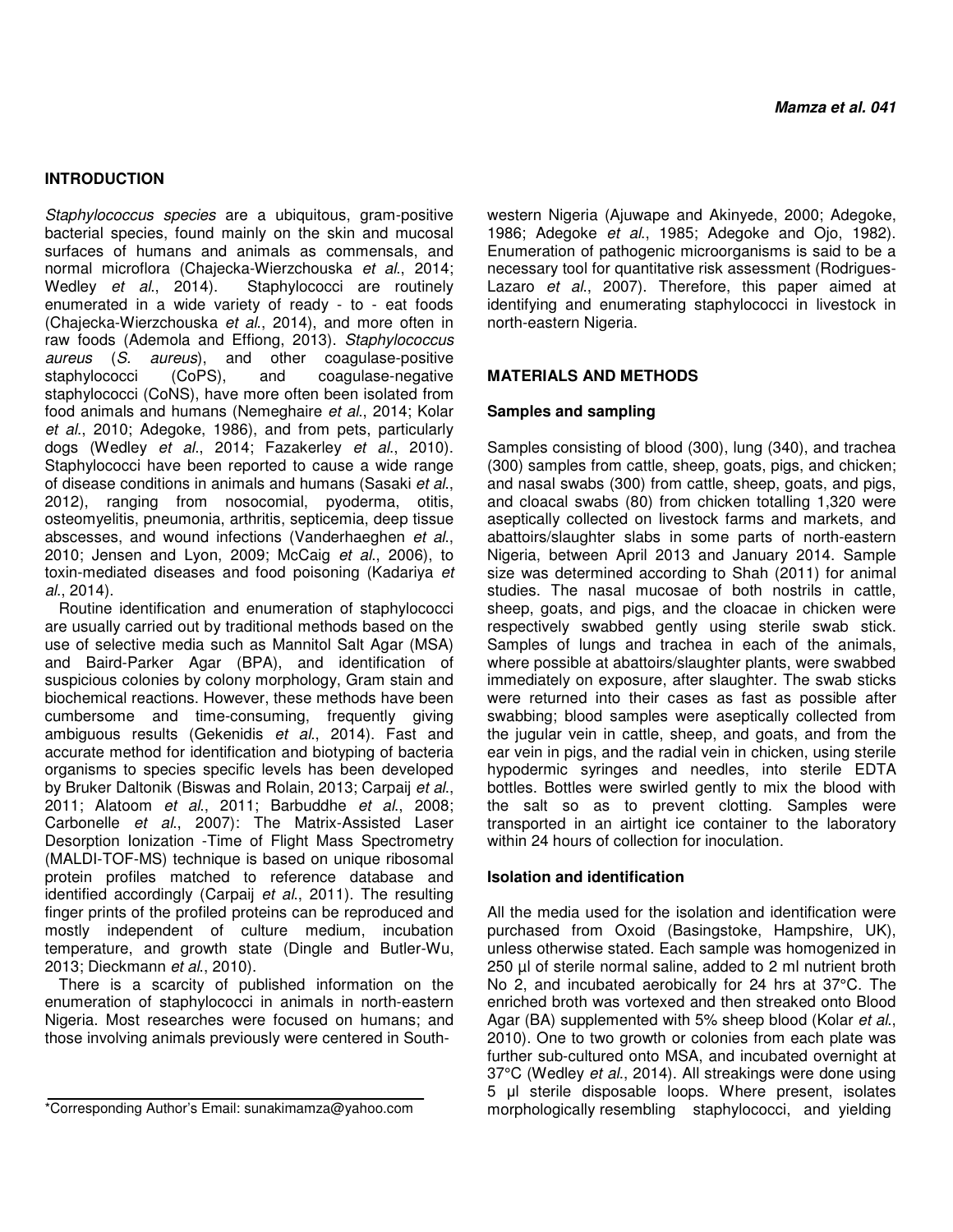## **INTRODUCTION**

Staphylococcus species are a ubiquitous, gram-positive bacterial species, found mainly on the skin and mucosal surfaces of humans and animals as commensals, and normal microflora (Chajecka-Wierzchouska et al., 2014;<br>Wedley et al., 2014). Staphylococci are routinely Staphylococci are routinely enumerated in a wide variety of ready - to - eat foods (Chajecka-Wierzchouska et al., 2014), and more often in raw foods (Ademola and Effiong, 2013). Staphylococcus aureus (S. aureus), and other coagulase-positive<br>staphylococci (CoPS), and coagulase-negative and coagulase-negative staphylococci (CoNS), have more often been isolated from food animals and humans (Nemeghaire et al., 2014; Kolar et al., 2010; Adegoke, 1986), and from pets, particularly dogs (Wedley et al., 2014; Fazakerley et al., 2010). Staphylococci have been reported to cause a wide range of disease conditions in animals and humans (Sasaki et al., 2012), ranging from nosocomial, pyoderma, otitis, osteomyelitis, pneumonia, arthritis, septicemia, deep tissue abscesses, and wound infections (Vanderhaeghen et al., 2010; Jensen and Lyon, 2009; McCaig et al., 2006), to toxin-mediated diseases and food poisoning (Kadariya et al., 2014).

Routine identification and enumeration of staphylococci are usually carried out by traditional methods based on the use of selective media such as Mannitol Salt Agar (MSA) and Baird-Parker Agar (BPA), and identification of suspicious colonies by colony morphology, Gram stain and biochemical reactions. However, these methods have been cumbersome and time-consuming, frequently giving ambiguous results (Gekenidis et al., 2014). Fast and accurate method for identification and biotyping of bacteria organisms to species specific levels has been developed by Bruker Daltonik (Biswas and Rolain, 2013; Carpaij et al., 2011; Alatoom et al., 2011; Barbuddhe et al., 2008; Carbonelle et al., 2007): The Matrix-Assisted Laser Desorption Ionization -Time of Flight Mass Spectrometry (MALDI-TOF-MS) technique is based on unique ribosomal protein profiles matched to reference database and identified accordingly (Carpaij et al., 2011). The resulting finger prints of the profiled proteins can be reproduced and mostly independent of culture medium, incubation temperature, and growth state (Dingle and Butler-Wu, 2013; Dieckmann et al., 2010).

There is a scarcity of published information on the enumeration of staphylococci in animals in north-eastern Nigeria. Most researches were focused on humans; and those involving animals previously were centered in Southwestern Nigeria (Ajuwape and Akinyede, 2000; Adegoke, 1986; Adegoke et al., 1985; Adegoke and Ojo, 1982). Enumeration of pathogenic microorganisms is said to be a necessary tool for quantitative risk assessment (Rodrigues-Lazaro et al., 2007). Therefore, this paper aimed at identifying and enumerating staphylococci in livestock in north-eastern Nigeria.

## **MATERIALS AND METHODS**

#### **Samples and sampling**

Samples consisting of blood (300), lung (340), and trachea (300) samples from cattle, sheep, goats, pigs, and chicken; and nasal swabs (300) from cattle, sheep, goats, and pigs, and cloacal swabs (80) from chicken totalling 1,320 were aseptically collected on livestock farms and markets, and abattoirs/slaughter slabs in some parts of north-eastern Nigeria, between April 2013 and January 2014. Sample size was determined according to Shah (2011) for animal studies. The nasal mucosae of both nostrils in cattle, sheep, goats, and pigs, and the cloacae in chicken were respectively swabbed gently using sterile swab stick. Samples of lungs and trachea in each of the animals, where possible at abattoirs/slaughter plants, were swabbed immediately on exposure, after slaughter. The swab sticks were returned into their cases as fast as possible after swabbing; blood samples were aseptically collected from the jugular vein in cattle, sheep, and goats, and from the ear vein in pigs, and the radial vein in chicken, using sterile hypodermic syringes and needles, into sterile EDTA bottles. Bottles were swirled gently to mix the blood with the salt so as to prevent clotting. Samples were transported in an airtight ice container to the laboratory within 24 hours of collection for inoculation.

#### **Isolation and identification**

All the media used for the isolation and identification were purchased from Oxoid (Basingstoke, Hampshire, UK), unless otherwise stated. Each sample was homogenized in 250 µl of sterile normal saline, added to 2 ml nutrient broth No 2, and incubated aerobically for 24 hrs at 37°C. The enriched broth was vortexed and then streaked onto Blood Agar (BA) supplemented with 5% sheep blood (Kolar et al., 2010). One to two growth or colonies from each plate was further sub-cultured onto MSA, and incubated overnight at 37°C (Wedley et al., 2014). All streakings were done using 5 µl sterile disposable loops. Where present, isolates morphologically resembling staphylococci, and yielding

<sup>\*</sup>Corresponding Author's Email: sunakimamza@yahoo.com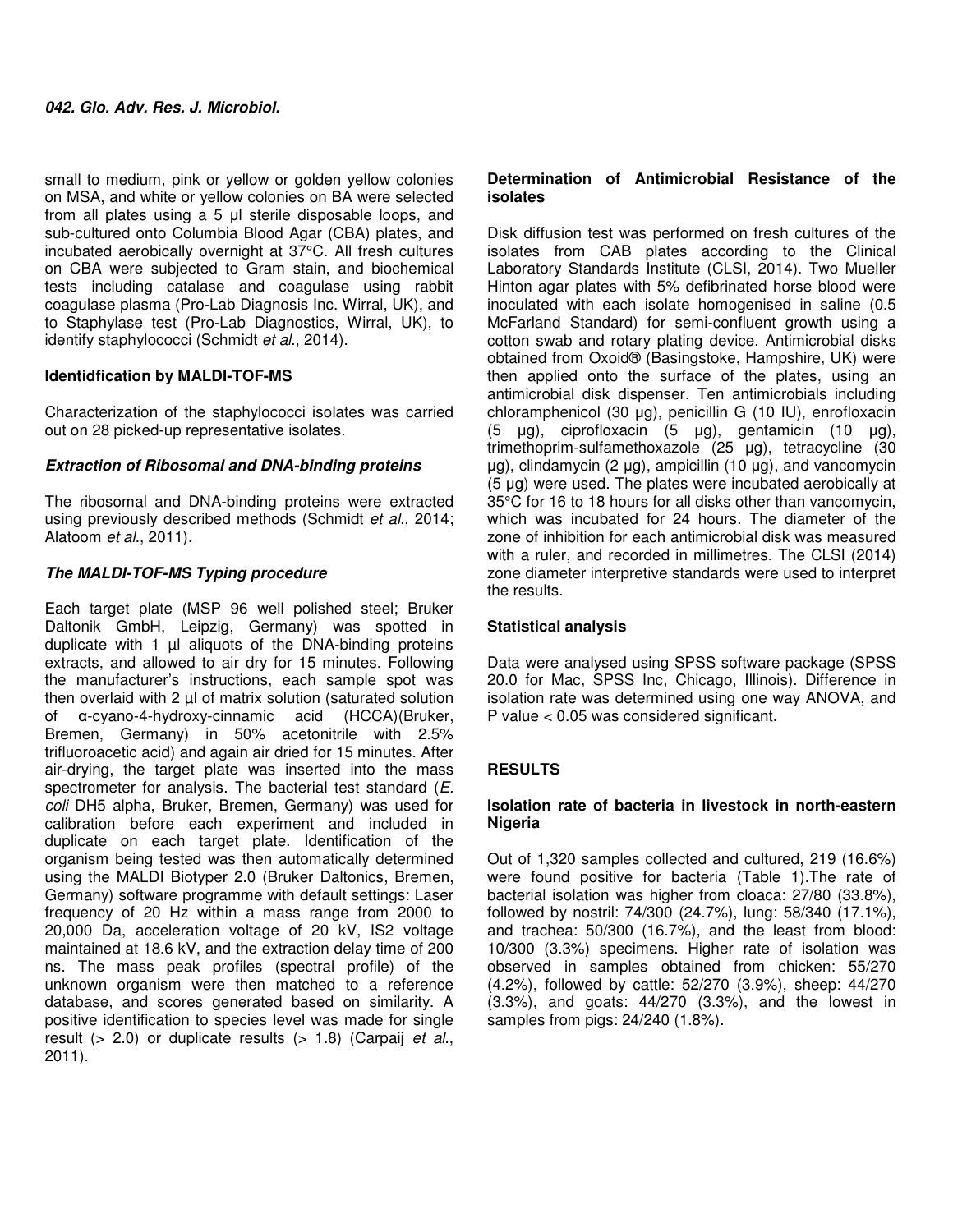small to medium, pink or yellow or golden yellow colonies on MSA, and white or yellow colonies on BA were selected from all plates using a 5 µl sterile disposable loops, and sub-cultured onto Columbia Blood Agar (CBA) plates, and incubated aerobically overnight at 37°C. All fresh cultures on CBA were subjected to Gram stain, and biochemical tests including catalase and coagulase using rabbit coagulase plasma (Pro-Lab Diagnosis Inc. Wirral, UK), and to Staphylase test (Pro-Lab Diagnostics, Wirral, UK), to identify staphylococci (Schmidt et al., 2014).

## **Identidfication by MALDI-TOF-MS**

Characterization of the staphylococci isolates was carried out on 28 picked-up representative isolates.

## **Extraction of Ribosomal and DNA-binding proteins**

The ribosomal and DNA-binding proteins were extracted using previously described methods (Schmidt et al., 2014; Alatoom et al., 2011).

## **The MALDI-TOF-MS Typing procedure**

Each target plate (MSP 96 well polished steel; Bruker Daltonik GmbH, Leipzig, Germany) was spotted in duplicate with 1  $\mu$  aliquots of the DNA-binding proteins extracts, and allowed to air dry for 15 minutes. Following the manufacturer's instructions, each sample spot was then overlaid with 2 µl of matrix solution (saturated solution of α-cyano-4-hydroxy-cinnamic acid (HCCA)(Bruker, Bremen, Germany) in 50% acetonitrile with 2.5% trifluoroacetic acid) and again air dried for 15 minutes. After air-drying, the target plate was inserted into the mass spectrometer for analysis. The bacterial test standard (E. coli DH5 alpha, Bruker, Bremen, Germany) was used for calibration before each experiment and included in duplicate on each target plate. Identification of the organism being tested was then automatically determined using the MALDI Biotyper 2.0 (Bruker Daltonics, Bremen, Germany) software programme with default settings: Laser frequency of 20 Hz within a mass range from 2000 to 20,000 Da, acceleration voltage of 20 kV, IS2 voltage maintained at 18.6 kV, and the extraction delay time of 200 ns. The mass peak profiles (spectral profile) of the unknown organism were then matched to a reference database, and scores generated based on similarity. A positive identification to species level was made for single result  $(> 2.0)$  or duplicate results  $(> 1.8)$  (Carpaij et al., 2011).

## **Determination of Antimicrobial Resistance of the isolates**

Disk diffusion test was performed on fresh cultures of the isolates from CAB plates according to the Clinical Laboratory Standards Institute (CLSI, 2014). Two Mueller Hinton agar plates with 5% defibrinated horse blood were inoculated with each isolate homogenised in saline (0.5 McFarland Standard) for semi-confluent growth using a cotton swab and rotary plating device. Antimicrobial disks obtained from Oxoid® (Basingstoke, Hampshire, UK) were then applied onto the surface of the plates, using an antimicrobial disk dispenser. Ten antimicrobials including chloramphenicol (30 µg), penicillin G (10 IU), enrofloxacin (5 µg), ciprofloxacin (5 µg), gentamicin (10 µg), trimethoprim-sulfamethoxazole (25 µg), tetracycline (30 µg), clindamycin (2 µg), ampicillin (10 µg), and vancomycin (5 µg) were used. The plates were incubated aerobically at 35°C for 16 to 18 hours for all disks other than vancomycin, which was incubated for 24 hours. The diameter of the zone of inhibition for each antimicrobial disk was measured with a ruler, and recorded in millimetres. The CLSI (2014) zone diameter interpretive standards were used to interpret the results.

## **Statistical analysis**

Data were analysed using SPSS software package (SPSS 20.0 for Mac, SPSS Inc, Chicago, Illinois). Difference in isolation rate was determined using one way ANOVA, and P value < 0.05 was considered significant.

## **RESULTS**

## **Isolation rate of bacteria in livestock in north-eastern Nigeria**

Out of 1,320 samples collected and cultured, 219 (16.6%) were found positive for bacteria (Table 1).The rate of bacterial isolation was higher from cloaca: 27/80 (33.8%), followed by nostril: 74/300 (24.7%), lung: 58/340 (17.1%), and trachea: 50/300 (16.7%), and the least from blood: 10/300 (3.3%) specimens. Higher rate of isolation was observed in samples obtained from chicken: 55/270 (4.2%), followed by cattle: 52/270 (3.9%), sheep: 44/270 (3.3%), and goats: 44/270 (3.3%), and the lowest in samples from pigs: 24/240 (1.8%).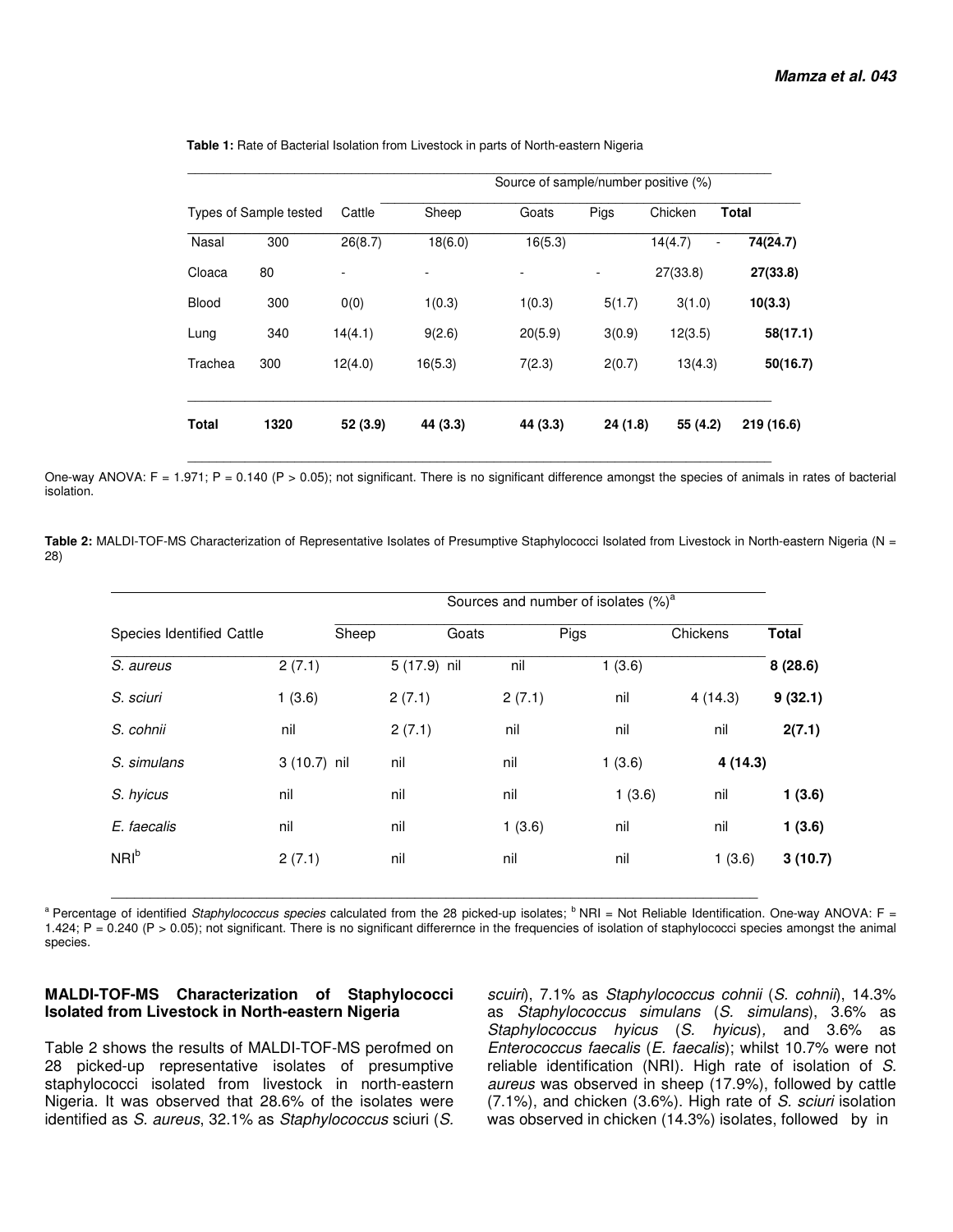|              |                        |          | Source of sample/number positive (%) |          |          |              |              |  |
|--------------|------------------------|----------|--------------------------------------|----------|----------|--------------|--------------|--|
|              | Types of Sample tested | Cattle   | Sheep                                | Goats    | Pigs     | Chicken      | <b>Total</b> |  |
| Nasal        | 300                    | 26(8.7)  | 18(6.0)                              | 16(5.3)  |          | 14(4.7)<br>- | 74(24.7)     |  |
| Cloaca       | 80                     |          |                                      |          |          | 27(33.8)     | 27(33.8)     |  |
| Blood        | 300                    | 0(0)     | 1(0.3)                               | 1(0.3)   | 5(1.7)   | 3(1.0)       | 10(3.3)      |  |
| Lung         | 340                    | 14(4.1)  | 9(2.6)                               | 20(5.9)  | 3(0.9)   | 12(3.5)      | 58(17.1)     |  |
| Trachea      | 300                    | 12(4.0)  | 16(5.3)                              | 7(2.3)   | 2(0.7)   | 13(4.3)      | 50(16.7)     |  |
| <b>Total</b> | 1320                   | 52 (3.9) | 44 (3.3)                             | 44 (3.3) | 24 (1.8) | 55 (4.2)     | 219 (16.6)   |  |

 **Table 1:** Rate of Bacterial Isolation from Livestock in parts of North-eastern Nigeria

One-way ANOVA: F = 1.971; P = 0.140 (P > 0.05); not significant. There is no significant difference amongst the species of animals in rates of bacterial isolation.

\_\_\_\_\_\_\_\_\_\_\_\_\_\_\_\_\_\_\_\_\_\_\_\_\_\_\_\_\_\_\_\_\_\_\_\_\_\_\_\_\_\_\_\_\_\_\_\_\_\_\_\_\_\_\_\_\_\_\_\_\_\_\_\_\_\_\_\_\_\_\_\_\_\_\_\_\_\_\_\_\_\_

Table 2: MALDI-TOF-MS Characterization of Representative Isolates of Presumptive Staphylococci Isolated from Livestock in North-eastern Nigeria (N = 28)

|                           |              |       |              |       |        |      | Sources and number of isolates (%) <sup>a</sup> |          |              |
|---------------------------|--------------|-------|--------------|-------|--------|------|-------------------------------------------------|----------|--------------|
| Species Identified Cattle |              | Sheep |              | Goats |        | Pigs |                                                 | Chickens | <b>Total</b> |
| S. aureus                 | 2(7.1)       |       | 5 (17.9) nil |       | nil    |      | 1(3.6)                                          |          | 8(28.6)      |
| S. sciuri                 | 1(3.6)       |       | 2(7.1)       |       | 2(7.1) |      | nil                                             | 4(14.3)  | 9(32.1)      |
| S. cohnii                 | nil          |       | 2(7.1)       |       | nil    |      | nil                                             | nil      | 2(7.1)       |
| S. simulans               | 3 (10.7) nil |       | nil          |       | nil    |      | 1(3.6)                                          | 4 (14.3) |              |
| S. hyicus                 | nil          |       | nil          |       | nil    |      | 1(3.6)                                          | nil      | 1(3.6)       |
| E. faecalis               | nil          |       | nil          |       | 1(3.6) |      | nil                                             | nil      | 1(3.6)       |
| NRI <sup>b</sup>          | 2(7.1)       |       | nil          |       | nil    |      | nil                                             | 1(3.6)   | 3(10.7)      |
|                           |              |       |              |       |        |      |                                                 |          |              |

<sup>a</sup> Percentage of identified Staphylococcus species calculated from the 28 picked-up isolates; <sup>b</sup> NRI = Not Reliable Identification. One-way ANOVA: F = 1.424; P = 0.240 (P > 0.05); not significant. There is no significant differernce in the frequencies of isolation of staphylococci species amongst the animal species.

### **MALDI-TOF-MS Characterization of Staphylococci Isolated from Livestock in North-eastern Nigeria**

Table 2 shows the results of MALDI-TOF-MS perofmed on 28 picked-up representative isolates of presumptive staphylococci isolated from livestock in north-eastern Nigeria. It was observed that 28.6% of the isolates were identified as S. aureus, 32.1% as Staphylococcus sciuri (S.

scuiri), 7.1% as Staphylococcus cohnii (S. cohnii), 14.3% as Staphylococcus simulans (S. simulans), 3.6% as Staphylococcus hyicus (S. hyicus), and 3.6% as Enterococcus faecalis (E. faecalis); whilst 10.7% were not reliable identification (NRI). High rate of isolation of S. aureus was observed in sheep (17.9%), followed by cattle (7.1%), and chicken (3.6%). High rate of S. sciuri isolation was observed in chicken (14.3%) isolates, followed by in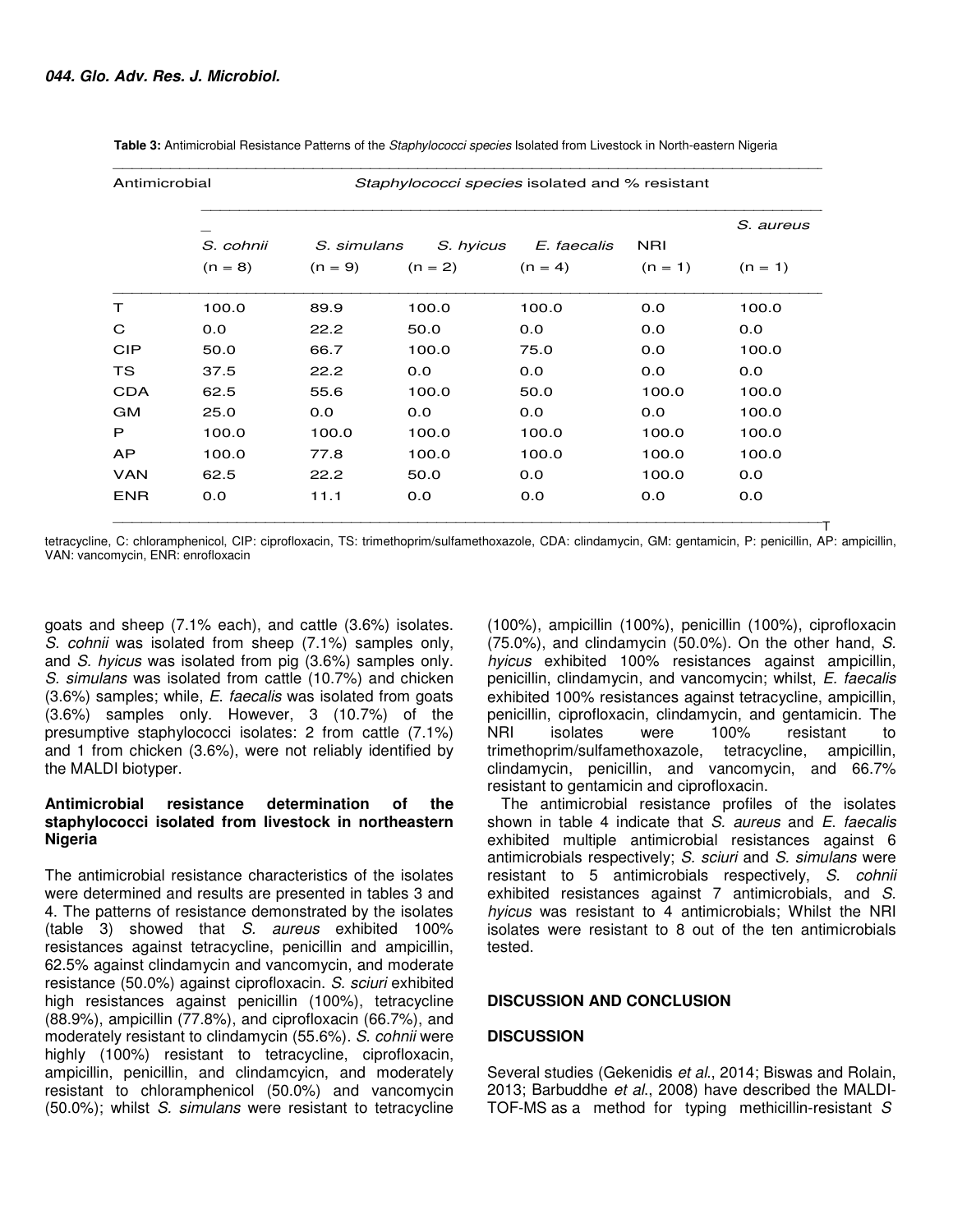| Antimicrobial |           | Staphylococci species isolated and % resistant |           |             |            |           |  |
|---------------|-----------|------------------------------------------------|-----------|-------------|------------|-----------|--|
|               |           |                                                |           |             |            | S. aureus |  |
|               | S. cohnii | S. simulans<br>S. hyicus                       |           | E. faecalis | <b>NRI</b> |           |  |
|               | $(n = 8)$ | $(n = 9)$                                      | $(n = 2)$ | $(n = 4)$   | $(n = 1)$  | $(n = 1)$ |  |
| т             | 100.0     | 89.9                                           | 100.0     | 100.0       | 0.0        | 100.0     |  |
| C             | 0.0       | 22.2                                           | 50.0      | 0.0         | 0.0        | 0.0       |  |
| <b>CIP</b>    | 50.0      | 66.7                                           | 100.0     | 75.0        | 0.0        | 100.0     |  |
| <b>TS</b>     | 37.5      | 22.2                                           | 0.0       | 0.0         | 0.0        | 0.0       |  |
| <b>CDA</b>    | 62.5      | 55.6                                           | 100.0     | 50.0        | 100.0      | 100.0     |  |
| <b>GM</b>     | 25.0      | 0.0                                            | 0.0       | 0.0         | 0.0        | 100.0     |  |
| P             | 100.0     | 100.0                                          | 100.0     | 100.0       | 100.0      | 100.0     |  |
| <b>AP</b>     | 100.0     | 77.8                                           | 100.0     | 100.0       | 100.0      | 100.0     |  |
| <b>VAN</b>    | 62.5      | 22.2                                           | 50.0      | 0.0         | 100.0      | 0.0       |  |
| <b>ENR</b>    | 0.0       | 11.1                                           | 0.0       | 0.0         | 0.0        | 0.0       |  |

 **Table 3:** Antimicrobial Resistance Patterns of the Staphylococci species Isolated from Livestock in North-eastern Nigeria

tetracycline, C: chloramphenicol, CIP: ciprofloxacin, TS: trimethoprim/sulfamethoxazole, CDA: clindamycin, GM: gentamicin, P: penicillin, AP: ampicillin, VAN: vancomycin, ENR: enrofloxacin

goats and sheep (7.1% each), and cattle (3.6%) isolates. S. cohnii was isolated from sheep (7.1%) samples only, and S. hyicus was isolated from pig (3.6%) samples only. S. simulans was isolated from cattle (10.7%) and chicken (3.6%) samples; while, E. faecalis was isolated from goats (3.6%) samples only. However, 3 (10.7%) of the presumptive staphylococci isolates: 2 from cattle (7.1%) and 1 from chicken (3.6%), were not reliably identified by the MALDI biotyper.

### **Antimicrobial resistance determination of the staphylococci isolated from livestock in northeastern Nigeria**

The antimicrobial resistance characteristics of the isolates were determined and results are presented in tables 3 and 4. The patterns of resistance demonstrated by the isolates (table 3) showed that S. aureus exhibited 100% resistances against tetracycline, penicillin and ampicillin, 62.5% against clindamycin and vancomycin, and moderate resistance (50.0%) against ciprofloxacin. S. sciuri exhibited high resistances against penicillin (100%), tetracycline (88.9%), ampicillin (77.8%), and ciprofloxacin (66.7%), and moderately resistant to clindamycin (55.6%). S. cohnii were highly (100%) resistant to tetracycline, ciprofloxacin, ampicillin, penicillin, and clindamcyicn, and moderately resistant to chloramphenicol (50.0%) and vancomycin (50.0%); whilst S. simulans were resistant to tetracycline

(100%), ampicillin (100%), penicillin (100%), ciprofloxacin (75.0%), and clindamycin (50.0%). On the other hand, S. hyicus exhibited 100% resistances against ampicillin, penicillin, clindamycin, and vancomycin; whilst, E. faecalis exhibited 100% resistances against tetracycline, ampicillin, penicillin, ciprofloxacin, clindamycin, and gentamicin. The isolates were 100% resistant to trimethoprim/sulfamethoxazole, tetracycline, ampicillin, clindamycin, penicillin, and vancomycin, and 66.7% resistant to gentamicin and ciprofloxacin.

The antimicrobial resistance profiles of the isolates shown in table 4 indicate that S. aureus and E. faecalis exhibited multiple antimicrobial resistances against 6 antimicrobials respectively; S. sciuri and S. simulans were resistant to 5 antimicrobials respectively, S. cohnii exhibited resistances against 7 antimicrobials, and S. hyicus was resistant to 4 antimicrobials; Whilst the NRI isolates were resistant to 8 out of the ten antimicrobials tested.

## **DISCUSSION AND CONCLUSION**

### **DISCUSSION**

Several studies (Gekenidis et al., 2014; Biswas and Rolain, 2013; Barbuddhe et al., 2008) have described the MALDI-TOF-MS as a method for typing methicillin-resistant S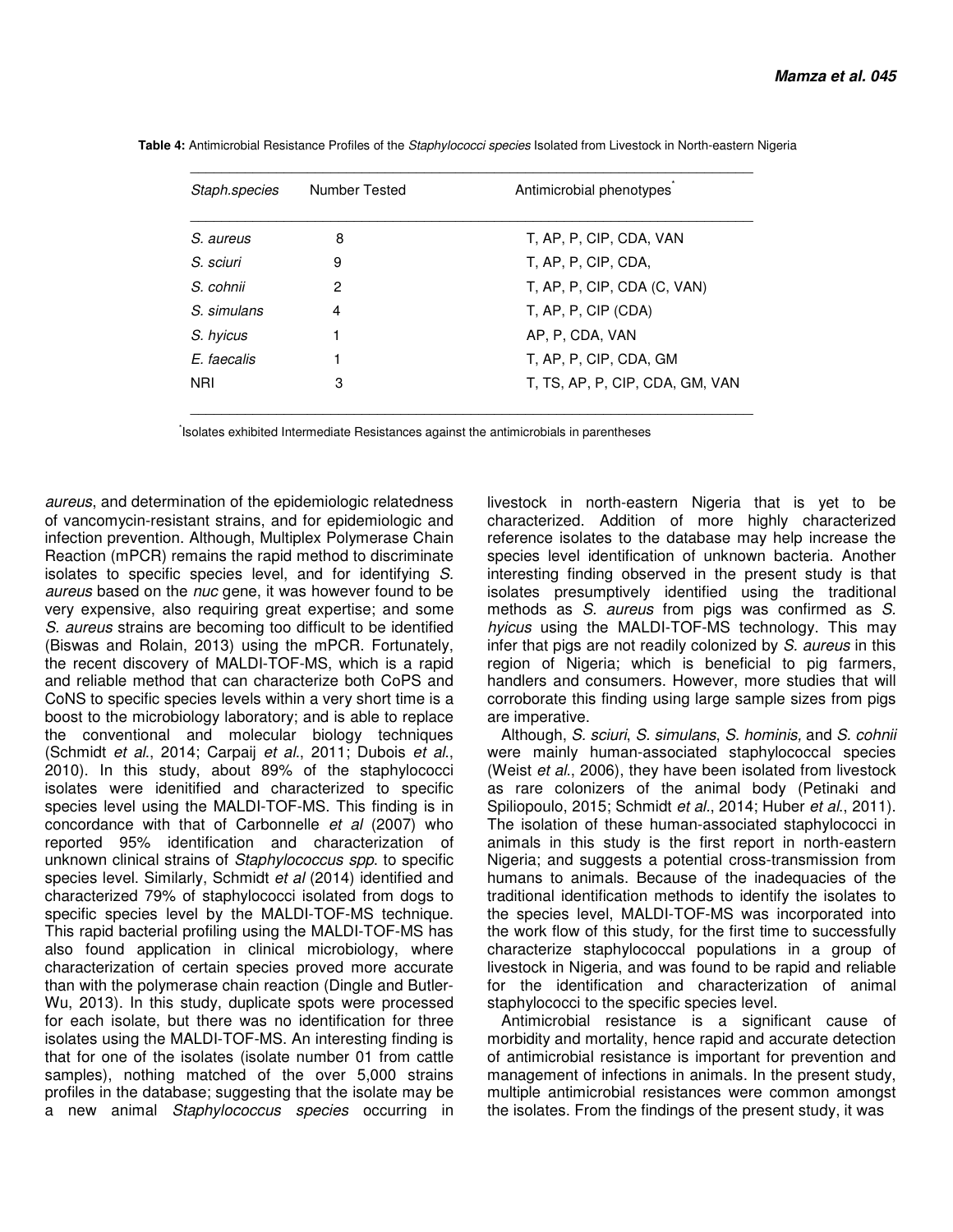| Staph.species | <b>Number Tested</b> | Antimicrobial phenotypes        |
|---------------|----------------------|---------------------------------|
| S. aureus     | 8                    | T. AP. P. CIP. CDA. VAN         |
| S. sciuri     | 9                    | T. AP. P. CIP. CDA.             |
| S. cohnii     | 2                    | T, AP, P, CIP, CDA (C, VAN)     |
| S. simulans   | 4                    | T, AP, P, CIP (CDA)             |
| S. hyicus     | 1                    | AP, P, CDA, VAN                 |
| E. faecalis   |                      | T, AP, P, CIP, CDA, GM          |
| <b>NRI</b>    | 3                    | T, TS, AP, P, CIP, CDA, GM, VAN |

 **Table 4:** Antimicrobial Resistance Profiles of the Staphylococci species Isolated from Livestock in North-eastern Nigeria

\*Isolates exhibited Intermediate Resistances against the antimicrobials in parentheses

aureus, and determination of the epidemiologic relatedness of vancomycin-resistant strains, and for epidemiologic and infection prevention. Although, Multiplex Polymerase Chain Reaction (mPCR) remains the rapid method to discriminate isolates to specific species level, and for identifying S. aureus based on the nuc gene, it was however found to be very expensive, also requiring great expertise; and some S. aureus strains are becoming too difficult to be identified (Biswas and Rolain, 2013) using the mPCR. Fortunately, the recent discovery of MALDI-TOF-MS, which is a rapid and reliable method that can characterize both CoPS and CoNS to specific species levels within a very short time is a boost to the microbiology laboratory; and is able to replace the conventional and molecular biology techniques (Schmidt et al., 2014; Carpaij et al., 2011; Dubois et al., 2010). In this study, about 89% of the staphylococci isolates were idenitified and characterized to specific species level using the MALDI-TOF-MS. This finding is in concordance with that of Carbonnelle et al (2007) who reported 95% identification and characterization of unknown clinical strains of Staphylococcus spp. to specific species level. Similarly, Schmidt et al (2014) identified and characterized 79% of staphylococci isolated from dogs to specific species level by the MALDI-TOF-MS technique. This rapid bacterial profiling using the MALDI-TOF-MS has also found application in clinical microbiology, where characterization of certain species proved more accurate than with the polymerase chain reaction (Dingle and Butler-Wu, 2013). In this study, duplicate spots were processed for each isolate, but there was no identification for three isolates using the MALDI-TOF-MS. An interesting finding is that for one of the isolates (isolate number 01 from cattle samples), nothing matched of the over 5,000 strains profiles in the database; suggesting that the isolate may be a new animal Staphylococcus species occurring in

livestock in north-eastern Nigeria that is yet to be characterized. Addition of more highly characterized reference isolates to the database may help increase the species level identification of unknown bacteria. Another interesting finding observed in the present study is that isolates presumptively identified using the traditional methods as S. aureus from pigs was confirmed as S. hyicus using the MALDI-TOF-MS technology. This may infer that pigs are not readily colonized by S. aureus in this region of Nigeria; which is beneficial to pig farmers, handlers and consumers. However, more studies that will corroborate this finding using large sample sizes from pigs are imperative.

Although, S. sciuri, S. simulans, S. hominis, and S. cohnii were mainly human-associated staphylococcal species (Weist et al., 2006), they have been isolated from livestock as rare colonizers of the animal body (Petinaki and Spiliopoulo, 2015; Schmidt et al., 2014; Huber et al., 2011). The isolation of these human-associated staphylococci in animals in this study is the first report in north-eastern Nigeria; and suggests a potential cross-transmission from humans to animals. Because of the inadequacies of the traditional identification methods to identify the isolates to the species level, MALDI-TOF-MS was incorporated into the work flow of this study, for the first time to successfully characterize staphylococcal populations in a group of livestock in Nigeria, and was found to be rapid and reliable for the identification and characterization of animal staphylococci to the specific species level.

Antimicrobial resistance is a significant cause of morbidity and mortality, hence rapid and accurate detection of antimicrobial resistance is important for prevention and management of infections in animals. In the present study, multiple antimicrobial resistances were common amongst the isolates. From the findings of the present study, it was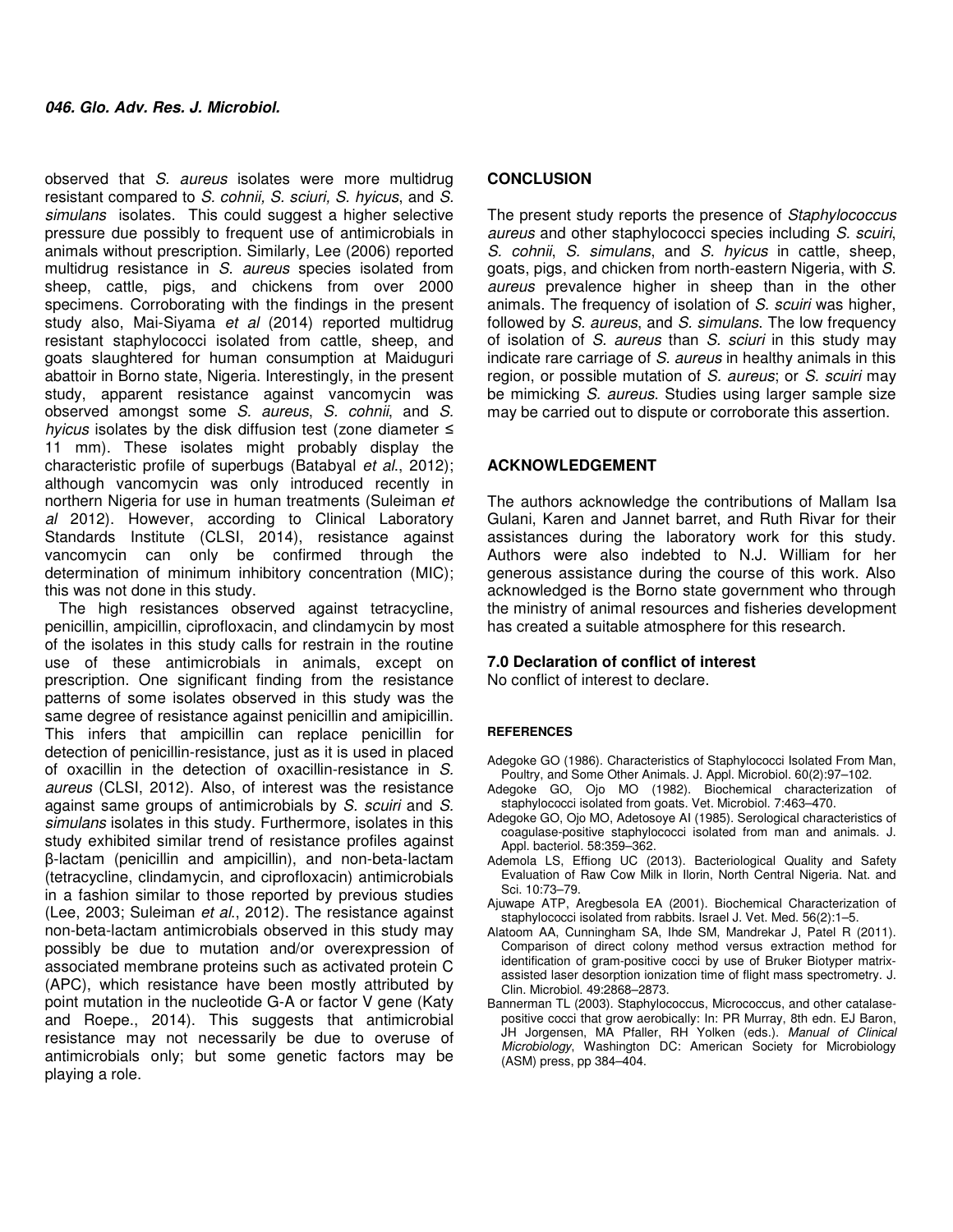observed that S. aureus isolates were more multidrug resistant compared to S. cohnii, S. sciuri, S. hyicus, and S. simulans isolates. This could suggest a higher selective pressure due possibly to frequent use of antimicrobials in animals without prescription. Similarly, Lee (2006) reported multidrug resistance in S. aureus species isolated from sheep, cattle, pigs, and chickens from over 2000 specimens. Corroborating with the findings in the present study also, Mai-Siyama et al (2014) reported multidrug resistant staphylococci isolated from cattle, sheep, and goats slaughtered for human consumption at Maiduguri abattoir in Borno state, Nigeria. Interestingly, in the present study, apparent resistance against vancomycin was observed amongst some S. aureus, S. cohnii, and S. hyicus isolates by the disk diffusion test (zone diameter ≤ 11 mm). These isolates might probably display the characteristic profile of superbugs (Batabyal et al., 2012); although vancomycin was only introduced recently in northern Nigeria for use in human treatments (Suleiman et al 2012). However, according to Clinical Laboratory Standards Institute (CLSI, 2014), resistance against vancomycin can only be confirmed through the determination of minimum inhibitory concentration (MIC); this was not done in this study.

The high resistances observed against tetracycline, penicillin, ampicillin, ciprofloxacin, and clindamycin by most of the isolates in this study calls for restrain in the routine use of these antimicrobials in animals, except on prescription. One significant finding from the resistance patterns of some isolates observed in this study was the same degree of resistance against penicillin and amipicillin. This infers that ampicillin can replace penicillin for detection of penicillin-resistance, just as it is used in placed of oxacillin in the detection of oxacillin-resistance in S. aureus (CLSI, 2012). Also, of interest was the resistance against same groups of antimicrobials by S. scuiri and S. simulans isolates in this study. Furthermore, isolates in this study exhibited similar trend of resistance profiles against β-lactam (penicillin and ampicillin), and non-beta-lactam (tetracycline, clindamycin, and ciprofloxacin) antimicrobials in a fashion similar to those reported by previous studies (Lee, 2003; Suleiman et al., 2012). The resistance against non-beta-lactam antimicrobials observed in this study may possibly be due to mutation and/or overexpression of associated membrane proteins such as activated protein C (APC), which resistance have been mostly attributed by point mutation in the nucleotide G-A or factor V gene (Katy and Roepe., 2014). This suggests that antimicrobial resistance may not necessarily be due to overuse of antimicrobials only; but some genetic factors may be playing a role.

## **CONCLUSION**

The present study reports the presence of Staphylococcus aureus and other staphylococci species including S. scuiri, S. cohnii, S. simulans, and S. hyicus in cattle, sheep, goats, pigs, and chicken from north-eastern Nigeria, with S. aureus prevalence higher in sheep than in the other animals. The frequency of isolation of S. scuiri was higher, followed by S. aureus, and S. simulans. The low frequency of isolation of S. aureus than S. sciuri in this study may indicate rare carriage of S. aureus in healthy animals in this region, or possible mutation of S. aureus; or S. scuiri may be mimicking S. aureus. Studies using larger sample size may be carried out to dispute or corroborate this assertion.

## **ACKNOWLEDGEMENT**

The authors acknowledge the contributions of Mallam Isa Gulani, Karen and Jannet barret, and Ruth Rivar for their assistances during the laboratory work for this study. Authors were also indebted to N.J. William for her generous assistance during the course of this work. Also acknowledged is the Borno state government who through the ministry of animal resources and fisheries development has created a suitable atmosphere for this research.

### **7.0 Declaration of conflict of interest**

No conflict of interest to declare.

### **REFERENCES**

- Adegoke GO (1986). Characteristics of Staphylococci Isolated From Man, Poultry, and Some Other Animals. J. Appl. Microbiol. 60(2):97–102.
- Adegoke GO, Ojo MO (1982). Biochemical characterization of staphylococci isolated from goats. Vet. Microbiol. 7:463–470.
- Adegoke GO, Ojo MO, Adetosoye AI (1985). Serological characteristics of coagulase-positive staphylococci isolated from man and animals. J. Appl. bacteriol. 58:359–362.
- Ademola LS, Effiong UC (2013). Bacteriological Quality and Safety Evaluation of Raw Cow Milk in Ilorin, North Central Nigeria. Nat. and Sci. 10:73–79.
- Ajuwape ATP, Aregbesola EA (2001). Biochemical Characterization of staphylococci isolated from rabbits. Israel J. Vet. Med. 56(2):1–5.
- Alatoom AA, Cunningham SA, Ihde SM, Mandrekar J, Patel R (2011). Comparison of direct colony method versus extraction method for identification of gram-positive cocci by use of Bruker Biotyper matrixassisted laser desorption ionization time of flight mass spectrometry. J. Clin. Microbiol. 49:2868–2873.
- Bannerman TL (2003). Staphylococcus, Micrococcus, and other catalasepositive cocci that grow aerobically: In: PR Murray, 8th edn. EJ Baron, JH Jorgensen, MA Pfaller, RH Yolken (eds.). Manual of Clinical Microbiology, Washington DC: American Society for Microbiology (ASM) press, pp 384–404.